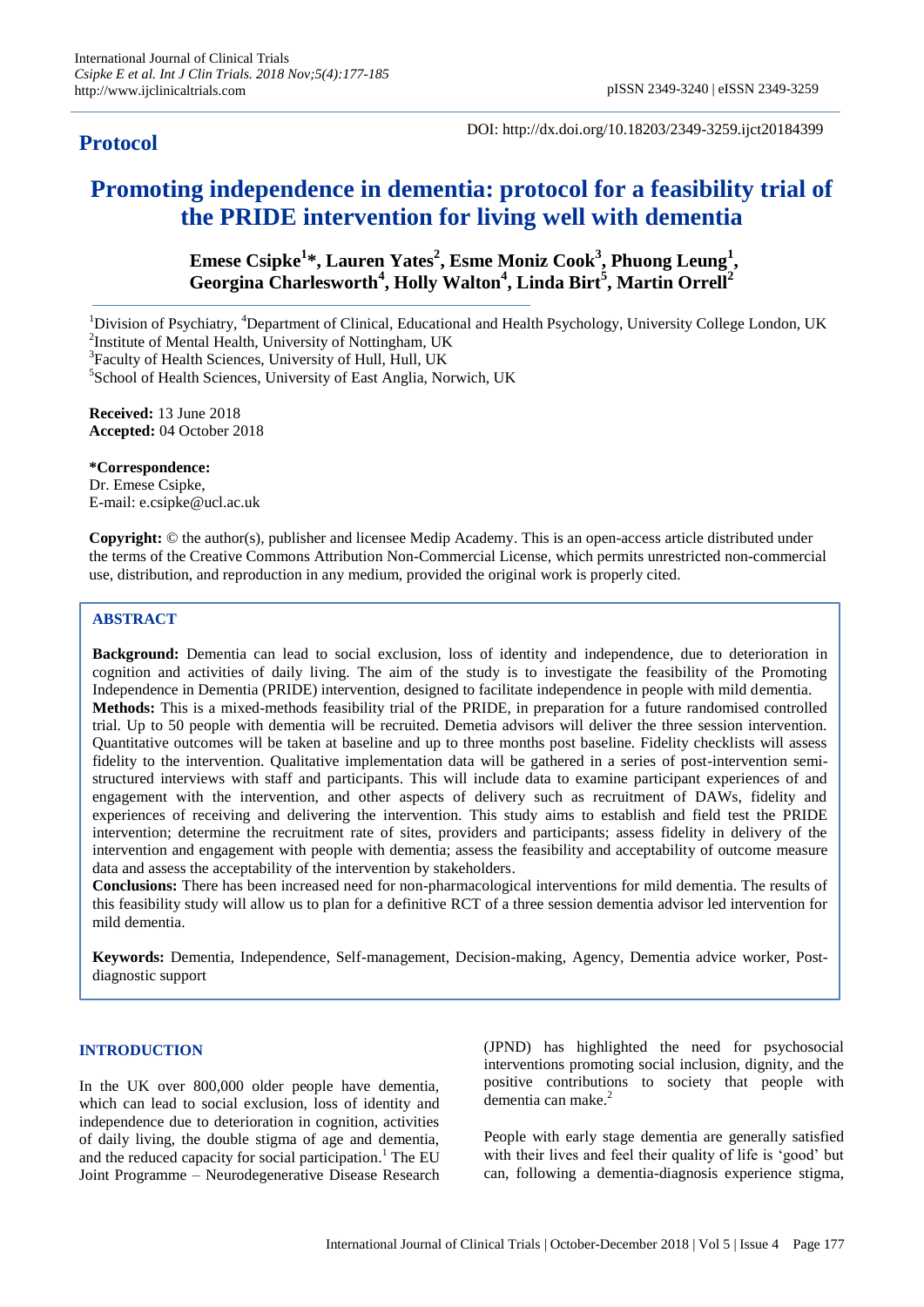# **Protocol**

DOI: http://dx.doi.org/10.18203/2349-3259.ijct20184399

# **Promoting independence in dementia: protocol for a feasibility trial of the PRIDE intervention for living well with dementia**

**Emese Csipke<sup>1</sup> \*, Lauren Yates<sup>2</sup> , Esme Moniz Cook<sup>3</sup> , Phuong Leung<sup>1</sup> , Georgina Charlesworth<sup>4</sup> , Holly Walton<sup>4</sup> , Linda Birt<sup>5</sup> , Martin Orrell<sup>2</sup>**

<sup>1</sup>Division of Psychiatry, <sup>4</sup>Department of Clinical, Educational and Health Psychology, University College London, UK <sup>2</sup>Institute of Mental Health, University of Nottingham, UK

<sup>3</sup>Faculty of Health Sciences, University of Hull, Hull, UK

5 School of Health Sciences, University of East Anglia, Norwich, UK

**Received:** 13 June 2018 **Accepted:** 04 October 2018

**\*Correspondence:** Dr. Emese Csipke, E-mail: e.csipke@ucl.ac.uk

**Copyright:** © the author(s), publisher and licensee Medip Academy. This is an open-access article distributed under the terms of the Creative Commons Attribution Non-Commercial License, which permits unrestricted non-commercial use, distribution, and reproduction in any medium, provided the original work is properly cited.

# **ABSTRACT**

**Background:** Dementia can lead to social exclusion, loss of identity and independence, due to deterioration in cognition and activities of daily living. The aim of the study is to investigate the feasibility of the Promoting Independence in Dementia (PRIDE) intervention, designed to facilitate independence in people with mild dementia. **Methods:** This is a mixed-methods feasibility trial of the PRIDE, in preparation for a future randomised controlled trial. Up to 50 people with dementia will be recruited. Demetia advisors will deliver the three session intervention. Quantitative outcomes will be taken at baseline and up to three months post baseline. Fidelity checklists will assess fidelity to the intervention. Qualitative implementation data will be gathered in a series of post-intervention semistructured interviews with staff and participants. This will include data to examine participant experiences of and engagement with the intervention, and other aspects of delivery such as recruitment of DAWs, fidelity and experiences of receiving and delivering the intervention. This study aims to establish and field test the PRIDE intervention; determine the recruitment rate of sites, providers and participants; assess fidelity in delivery of the intervention and engagement with people with dementia; assess the feasibility and acceptability of outcome measure data and assess the acceptability of the intervention by stakeholders.

**Conclusions:** There has been increased need for non-pharmacological interventions for mild dementia. The results of this feasibility study will allow us to plan for a definitive RCT of a three session dementia advisor led intervention for mild dementia.

**Keywords:** Dementia, Independence, Self-management, Decision-making, Agency, Dementia advice worker, Postdiagnostic support

# **INTRODUCTION**

In the UK over 800,000 older people have dementia, which can lead to social exclusion, loss of identity and independence due to deterioration in cognition, activities of daily living, the double stigma of age and dementia, and the reduced capacity for social participation. <sup>1</sup> The EU Joint Programme – Neurodegenerative Disease Research (JPND) has highlighted the need for psychosocial interventions promoting social inclusion, dignity, and the positive contributions to society that people with dementia can make. 2

People with early stage dementia are generally satisfied with their lives and feel their quality of life is 'good' but can, following a dementia-diagnosis experience stigma,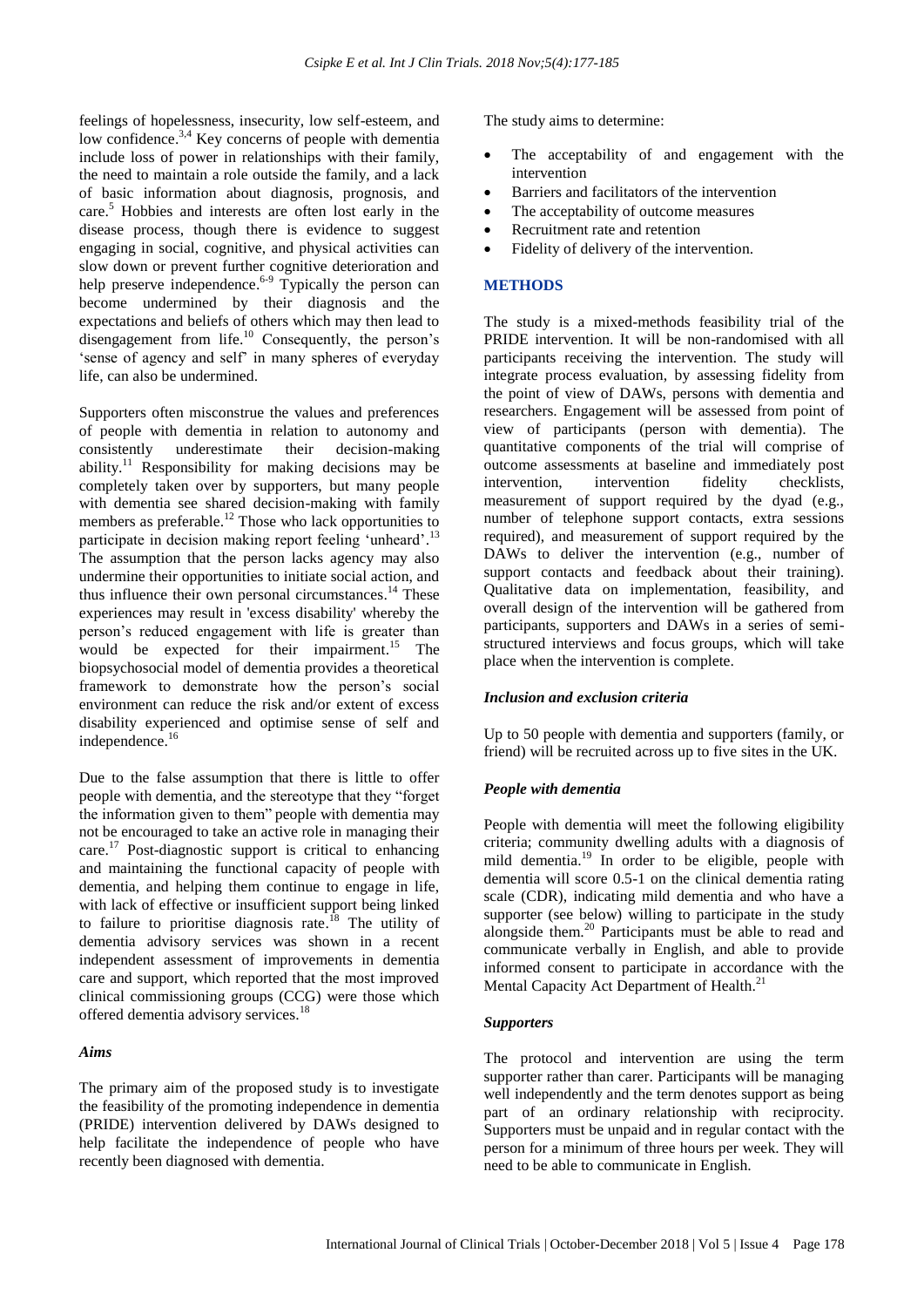feelings of hopelessness, insecurity, low self-esteem, and low confidence.<sup>3,4</sup> Key concerns of people with dementia include loss of power in relationships with their family, the need to maintain a role outside the family, and a lack of basic information about diagnosis, prognosis, and care. <sup>5</sup> Hobbies and interests are often lost early in the disease process, though there is evidence to suggest engaging in social, cognitive, and physical activities can slow down or prevent further cognitive deterioration and help preserve independence.<sup>6-9</sup> Typically the person can become undermined by their diagnosis and the expectations and beliefs of others which may then lead to disengagement from life.<sup>10</sup> Consequently, the person's 'sense of agency and self' in many spheres of everyday life, can also be undermined.

Supporters often misconstrue the values and preferences of people with dementia in relation to autonomy and consistently underestimate their decision-making ability.<sup>11</sup> Responsibility for making decisions may be completely taken over by supporters, but many people with dementia see shared decision-making with family members as preferable.<sup>12</sup> Those who lack opportunities to participate in decision making report feeling 'unheard'.<sup>13</sup> The assumption that the person lacks agency may also undermine their opportunities to initiate social action, and thus influence their own personal circumstances.<sup>14</sup> These experiences may result in 'excess disability' whereby the person"s reduced engagement with life is greater than would be expected for their impairment. <sup>15</sup> The biopsychosocial model of dementia provides a theoretical framework to demonstrate how the person"s social environment can reduce the risk and/or extent of excess disability experienced and optimise sense of self and independence.<sup>16</sup>

Due to the false assumption that there is little to offer people with dementia, and the stereotype that they "forget the information given to them" people with dementia may not be encouraged to take an active role in managing their care.<sup>17</sup> Post-diagnostic support is critical to enhancing and maintaining the functional capacity of people with dementia, and helping them continue to engage in life, with lack of effective or insufficient support being linked to failure to prioritise diagnosis rate.<sup>18</sup> The utility of dementia advisory services was shown in a recent independent assessment of improvements in dementia care and support, which reported that the most improved clinical commissioning groups (CCG) were those which offered dementia advisory services.<sup>18</sup>

#### *Aims*

The primary aim of the proposed study is to investigate the feasibility of the promoting independence in dementia (PRIDE) intervention delivered by DAWs designed to help facilitate the independence of people who have recently been diagnosed with dementia.

The study aims to determine:

- The acceptability of and engagement with the intervention
- Barriers and facilitators of the intervention
- The acceptability of outcome measures
- Recruitment rate and retention
- Fidelity of delivery of the intervention.

#### **METHODS**

The study is a mixed-methods feasibility trial of the PRIDE intervention. It will be non-randomised with all participants receiving the intervention. The study will integrate process evaluation, by assessing fidelity from the point of view of DAWs, persons with dementia and researchers. Engagement will be assessed from point of view of participants (person with dementia). The quantitative components of the trial will comprise of outcome assessments at baseline and immediately post intervention, intervention fidelity checklists, measurement of support required by the dyad (e.g., number of telephone support contacts, extra sessions required), and measurement of support required by the DAWs to deliver the intervention (e.g., number of support contacts and feedback about their training). Qualitative data on implementation, feasibility, and overall design of the intervention will be gathered from participants, supporters and DAWs in a series of semistructured interviews and focus groups, which will take place when the intervention is complete.

#### *Inclusion and exclusion criteria*

Up to 50 people with dementia and supporters (family, or friend) will be recruited across up to five sites in the UK.

#### *People with dementia*

People with dementia will meet the following eligibility criteria; community dwelling adults with a diagnosis of mild dementia.<sup>19</sup> In order to be eligible, people with dementia will score 0.5-1 on the clinical dementia rating scale (CDR), indicating mild dementia and who have a supporter (see below) willing to participate in the study alongside them.<sup>20</sup> Participants must be able to read and communicate verbally in English, and able to provide informed consent to participate in accordance with the Mental Capacity Act Department of Health.<sup>21</sup>

#### *Supporters*

The protocol and intervention are using the term supporter rather than carer. Participants will be managing well independently and the term denotes support as being part of an ordinary relationship with reciprocity. Supporters must be unpaid and in regular contact with the person for a minimum of three hours per week. They will need to be able to communicate in English.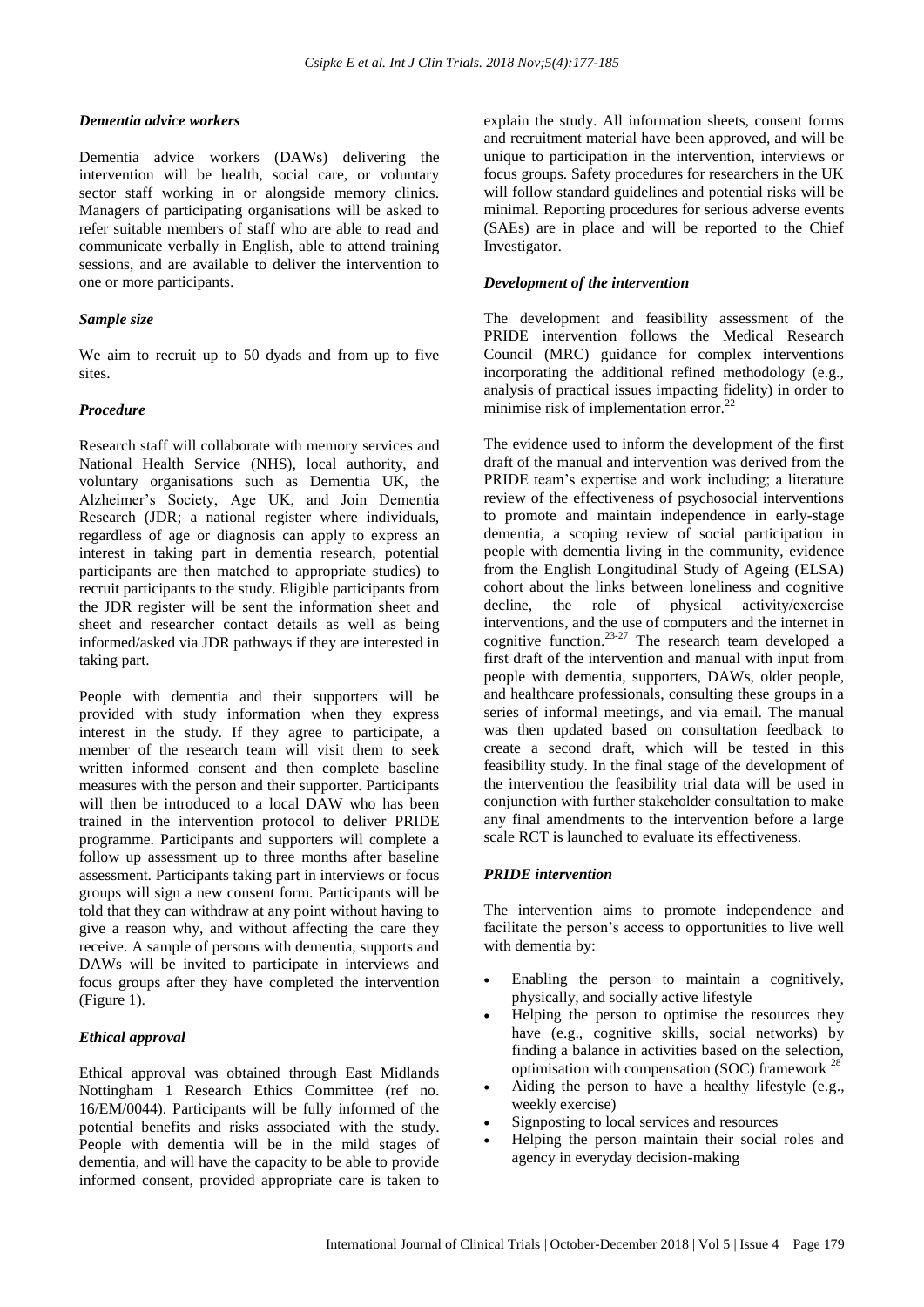# *Dementia advice workers*

Dementia advice workers (DAWs) delivering the intervention will be health, social care, or voluntary sector staff working in or alongside memory clinics. Managers of participating organisations will be asked to refer suitable members of staff who are able to read and communicate verbally in English, able to attend training sessions, and are available to deliver the intervention to one or more participants.

### *Sample size*

We aim to recruit up to 50 dyads and from up to five sites.

# *Procedure*

Research staff will collaborate with memory services and National Health Service (NHS), local authority, and voluntary organisations such as Dementia UK, the Alzheimer"s Society, Age UK, and Join Dementia Research (JDR; a national register where individuals, regardless of age or diagnosis can apply to express an interest in taking part in dementia research, potential participants are then matched to appropriate studies) to recruit participants to the study. Eligible participants from the JDR register will be sent the information sheet and sheet and researcher contact details as well as being informed/asked via JDR pathways if they are interested in taking part.

People with dementia and their supporters will be provided with study information when they express interest in the study. If they agree to participate, a member of the research team will visit them to seek written informed consent and then complete baseline measures with the person and their supporter. Participants will then be introduced to a local DAW who has been trained in the intervention protocol to deliver PRIDE programme. Participants and supporters will complete a follow up assessment up to three months after baseline assessment. Participants taking part in interviews or focus groups will sign a new consent form. Participants will be told that they can withdraw at any point without having to give a reason why, and without affecting the care they receive. A sample of persons with dementia, supports and DAWs will be invited to participate in interviews and focus groups after they have completed the intervention (Figure 1).

# *Ethical approval*

Ethical approval was obtained through East Midlands Nottingham 1 Research Ethics Committee (ref no. 16/EM/0044). Participants will be fully informed of the potential benefits and risks associated with the study. People with dementia will be in the mild stages of dementia, and will have the capacity to be able to provide informed consent, provided appropriate care is taken to explain the study. All information sheets, consent forms and recruitment material have been approved, and will be unique to participation in the intervention, interviews or focus groups. Safety procedures for researchers in the UK will follow standard guidelines and potential risks will be minimal. Reporting procedures for serious adverse events (SAEs) are in place and will be reported to the Chief Investigator.

# *Development of the intervention*

The development and feasibility assessment of the PRIDE intervention follows the Medical Research Council (MRC) guidance for complex interventions incorporating the additional refined methodology (e.g., analysis of practical issues impacting fidelity) in order to minimise risk of implementation error.<sup>22</sup>

The evidence used to inform the development of the first draft of the manual and intervention was derived from the PRIDE team"s expertise and work including; a literature review of the effectiveness of psychosocial interventions to promote and maintain independence in early-stage dementia, a scoping review of social participation in people with dementia living in the community, evidence from the English Longitudinal Study of Ageing (ELSA) cohort about the links between loneliness and cognitive decline, the role of physical activity/exercise interventions, and the use of computers and the internet in cognitive function. 23-27 The research team developed a first draft of the intervention and manual with input from people with dementia, supporters, DAWs, older people, and healthcare professionals, consulting these groups in a series of informal meetings, and via email. The manual was then updated based on consultation feedback to create a second draft, which will be tested in this feasibility study. In the final stage of the development of the intervention the feasibility trial data will be used in conjunction with further stakeholder consultation to make any final amendments to the intervention before a large scale RCT is launched to evaluate its effectiveness.

# *PRIDE intervention*

The intervention aims to promote independence and facilitate the person's access to opportunities to live well with dementia by:

- Enabling the person to maintain a cognitively, physically, and socially active lifestyle
- Helping the person to optimise the resources they have (e.g., cognitive skills, social networks) by finding a balance in activities based on the selection, optimisation with compensation (SOC) framework  $^{28}$
- Aiding the person to have a healthy lifestyle (e.g., weekly exercise)
- Signposting to local services and resources
- Helping the person maintain their social roles and agency in everyday decision-making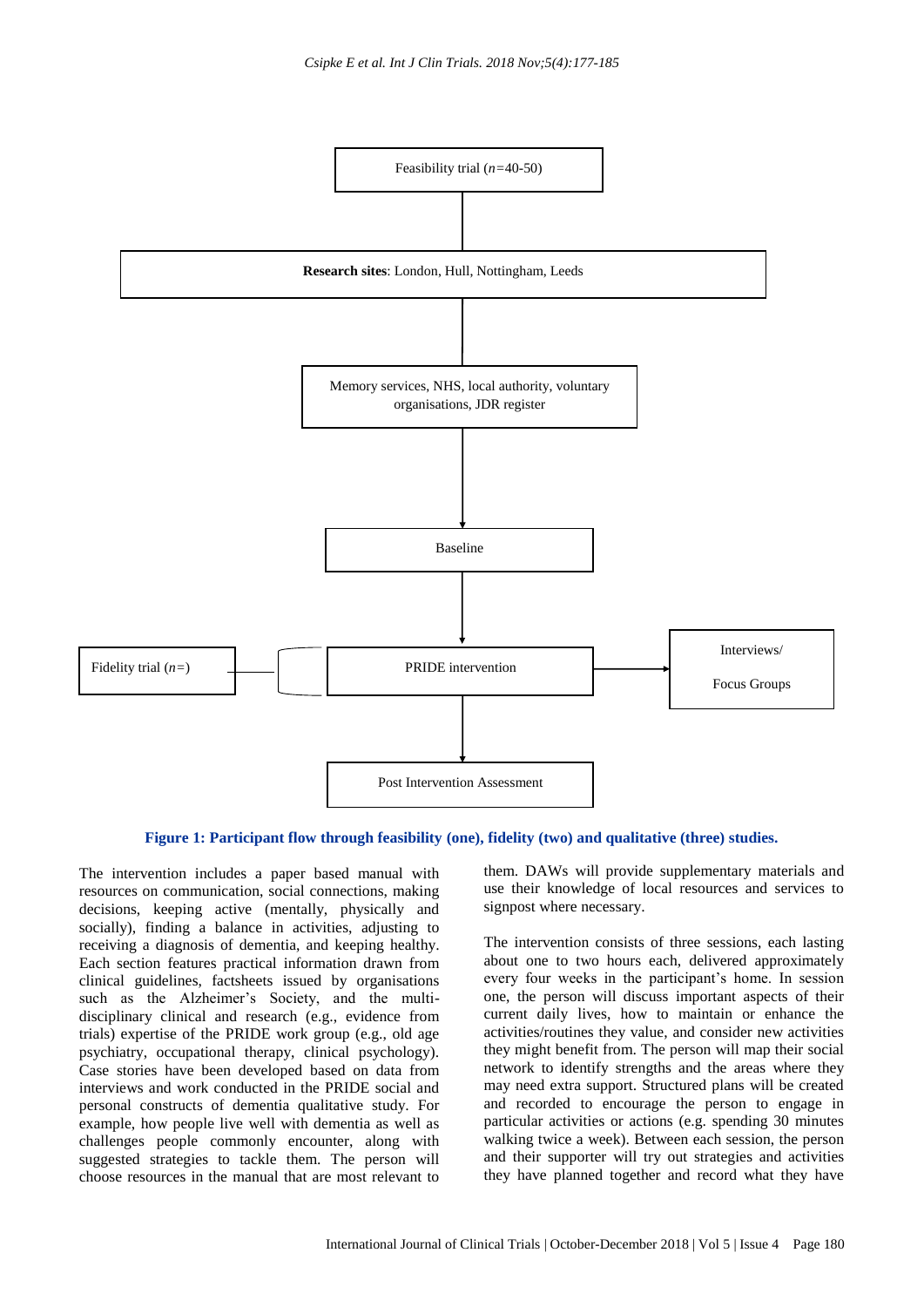

#### **Figure 1: Participant flow through feasibility (one), fidelity (two) and qualitative (three) studies.**

The intervention includes a paper based manual with resources on communication, social connections, making decisions, keeping active (mentally, physically and socially), finding a balance in activities, adjusting to receiving a diagnosis of dementia, and keeping healthy. Each section features practical information drawn from clinical guidelines, factsheets issued by organisations such as the Alzheimer's Society, and the multidisciplinary clinical and research (e.g., evidence from trials) expertise of the PRIDE work group (e.g., old age psychiatry, occupational therapy, clinical psychology). Case stories have been developed based on data from interviews and work conducted in the PRIDE social and personal constructs of dementia qualitative study. For example, how people live well with dementia as well as challenges people commonly encounter, along with suggested strategies to tackle them. The person will choose resources in the manual that are most relevant to

them. DAWs will provide supplementary materials and use their knowledge of local resources and services to signpost where necessary.

The intervention consists of three sessions, each lasting about one to two hours each, delivered approximately every four weeks in the participant's home. In session one, the person will discuss important aspects of their current daily lives, how to maintain or enhance the activities/routines they value, and consider new activities they might benefit from. The person will map their social network to identify strengths and the areas where they may need extra support. Structured plans will be created and recorded to encourage the person to engage in particular activities or actions (e.g. spending 30 minutes walking twice a week). Between each session, the person and their supporter will try out strategies and activities they have planned together and record what they have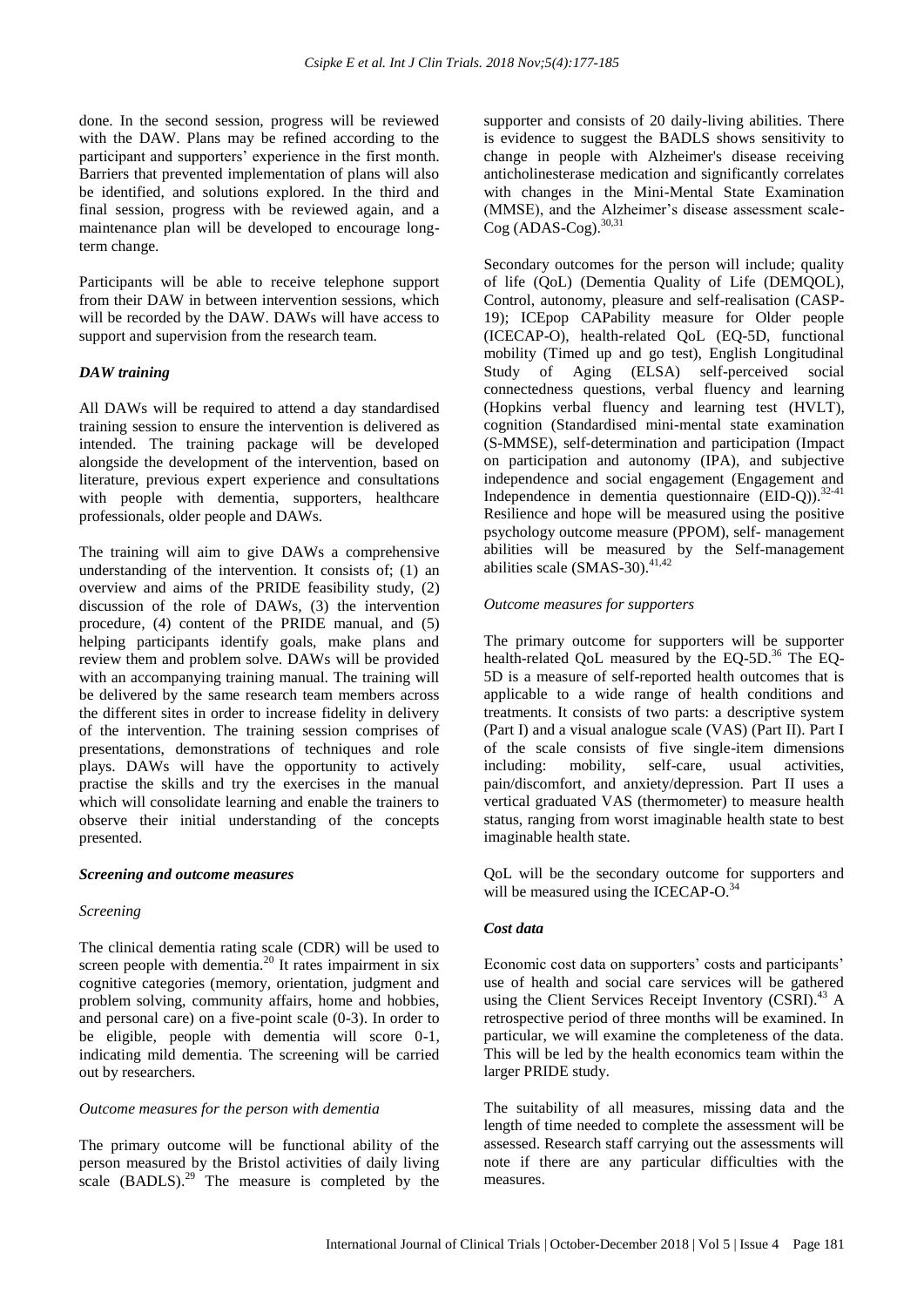done. In the second session, progress will be reviewed with the DAW. Plans may be refined according to the participant and supporters' experience in the first month. Barriers that prevented implementation of plans will also be identified, and solutions explored. In the third and final session, progress with be reviewed again, and a maintenance plan will be developed to encourage longterm change.

Participants will be able to receive telephone support from their DAW in between intervention sessions, which will be recorded by the DAW. DAWs will have access to support and supervision from the research team.

#### *DAW training*

All DAWs will be required to attend a day standardised training session to ensure the intervention is delivered as intended. The training package will be developed alongside the development of the intervention, based on literature, previous expert experience and consultations with people with dementia, supporters, healthcare professionals, older people and DAWs.

The training will aim to give DAWs a comprehensive understanding of the intervention. It consists of; (1) an overview and aims of the PRIDE feasibility study, (2) discussion of the role of DAWs, (3) the intervention procedure, (4) content of the PRIDE manual, and (5) helping participants identify goals, make plans and review them and problem solve. DAWs will be provided with an accompanying training manual. The training will be delivered by the same research team members across the different sites in order to increase fidelity in delivery of the intervention. The training session comprises of presentations, demonstrations of techniques and role plays. DAWs will have the opportunity to actively practise the skills and try the exercises in the manual which will consolidate learning and enable the trainers to observe their initial understanding of the concepts presented.

#### *Screening and outcome measures*

#### *Screening*

The clinical dementia rating scale (CDR) will be used to screen people with dementia.<sup>20</sup> It rates impairment in six cognitive categories (memory, orientation, judgment and problem solving, community affairs, home and hobbies, and personal care) on a five-point scale (0-3). In order to be eligible, people with dementia will score 0-1, indicating mild dementia. The screening will be carried out by researchers.

#### *Outcome measures for the person with dementia*

The primary outcome will be functional ability of the person measured by the Bristol activities of daily living scale  $(BADLS)$ .<sup>29</sup> The measure is completed by the supporter and consists of 20 daily-living abilities. There is evidence to suggest the BADLS shows sensitivity to change in people with Alzheimer's disease receiving anticholinesterase medication and significantly correlates with changes in the Mini-Mental State Examination (MMSE), and the Alzheimer's disease assessment scale-Cog (ADAS-Cog). 30,31

Secondary outcomes for the person will include; quality of life (QoL) (Dementia Quality of Life (DEMQOL), Control, autonomy, pleasure and self-realisation (CASP-19); ICEpop CAPability measure for Older people (ICECAP-O), health-related QoL (EQ-5D, functional mobility (Timed up and go test), English Longitudinal Study of Aging (ELSA) self-perceived social connectedness questions, verbal fluency and learning (Hopkins verbal fluency and learning test (HVLT), cognition (Standardised mini-mental state examination (S-MMSE), self-determination and participation (Impact on participation and autonomy (IPA), and subjective independence and social engagement (Engagement and Independence in dementia questionnaire  $(EID-Q)$ .<sup>32-41</sup> Resilience and hope will be measured using the positive psychology outcome measure (PPOM), self- management abilities will be measured by the Self-management abilities scale (SMAS-30). 41,42

#### *Outcome measures for supporters*

The primary outcome for supporters will be supporter health-related QoL measured by the EQ-5D. <sup>36</sup> The EQ-5D is a measure of self-reported health outcomes that is applicable to a wide range of health conditions and treatments. It consists of two parts: a descriptive system (Part I) and a visual analogue scale (VAS) (Part II). Part I of the scale consists of five single-item dimensions including: mobility, self-care, usual activities, pain/discomfort, and anxiety/depression. Part II uses a vertical graduated VAS (thermometer) to measure health status, ranging from worst imaginable health state to best imaginable health state.

QoL will be the secondary outcome for supporters and will be measured using the ICECAP-O.<sup>34</sup>

# *Cost data*

Economic cost data on supporters' costs and participants' use of health and social care services will be gathered using the Client Services Receipt Inventory (CSRI).<sup>43</sup> A retrospective period of three months will be examined. In particular, we will examine the completeness of the data. This will be led by the health economics team within the larger PRIDE study.

The suitability of all measures, missing data and the length of time needed to complete the assessment will be assessed. Research staff carrying out the assessments will note if there are any particular difficulties with the measures.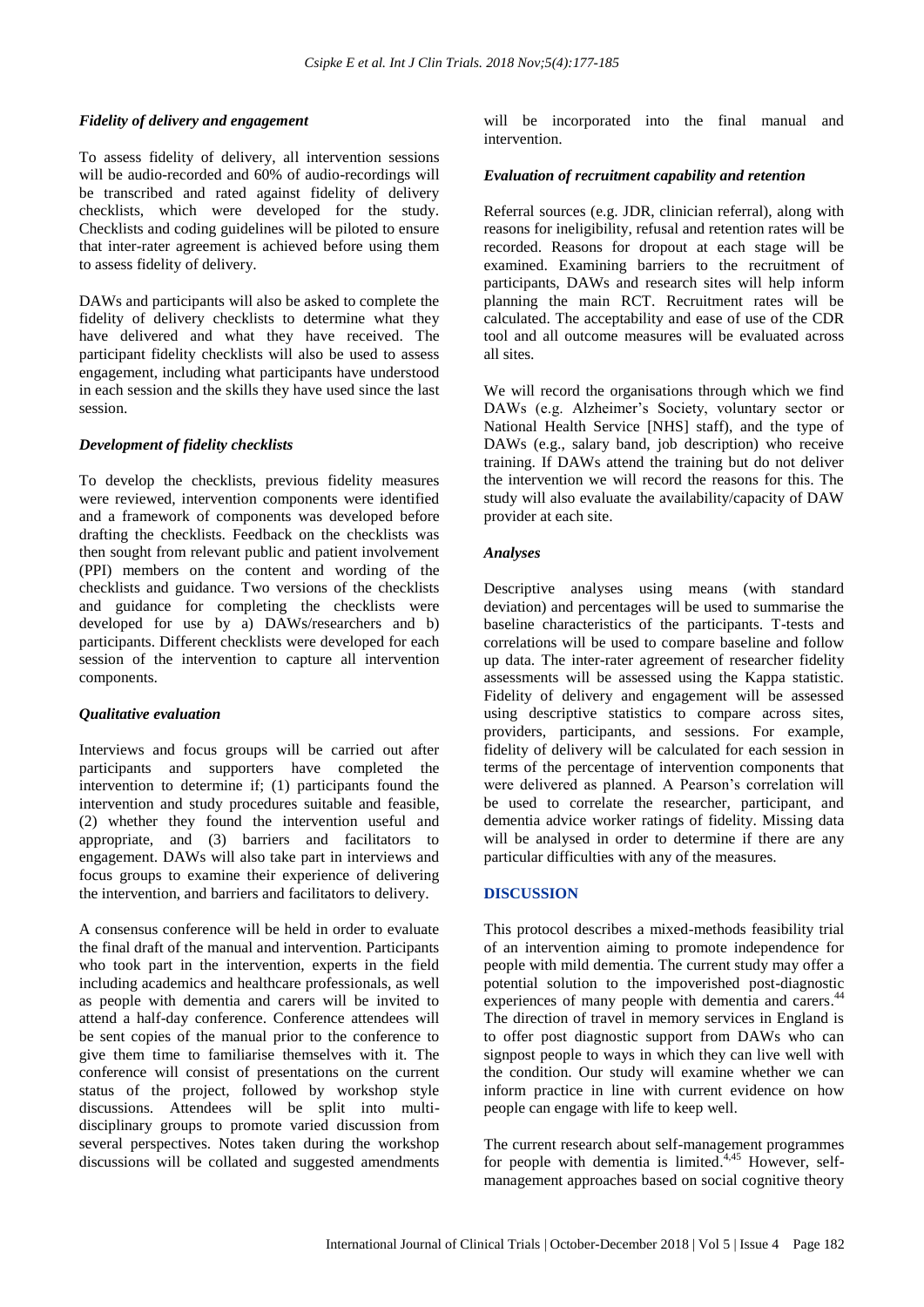# *Fidelity of delivery and engagement*

To assess fidelity of delivery, all intervention sessions will be audio-recorded and 60% of audio-recordings will be transcribed and rated against fidelity of delivery checklists, which were developed for the study. Checklists and coding guidelines will be piloted to ensure that inter-rater agreement is achieved before using them to assess fidelity of delivery.

DAWs and participants will also be asked to complete the fidelity of delivery checklists to determine what they have delivered and what they have received. The participant fidelity checklists will also be used to assess engagement, including what participants have understood in each session and the skills they have used since the last session.

# *Development of fidelity checklists*

To develop the checklists, previous fidelity measures were reviewed, intervention components were identified and a framework of components was developed before drafting the checklists. Feedback on the checklists was then sought from relevant public and patient involvement (PPI) members on the content and wording of the checklists and guidance. Two versions of the checklists and guidance for completing the checklists were developed for use by a) DAWs/researchers and b) participants. Different checklists were developed for each session of the intervention to capture all intervention components.

#### *Qualitative evaluation*

Interviews and focus groups will be carried out after participants and supporters have completed the intervention to determine if; (1) participants found the intervention and study procedures suitable and feasible, (2) whether they found the intervention useful and appropriate, and (3) barriers and facilitators to engagement. DAWs will also take part in interviews and focus groups to examine their experience of delivering the intervention, and barriers and facilitators to delivery.

A consensus conference will be held in order to evaluate the final draft of the manual and intervention. Participants who took part in the intervention, experts in the field including academics and healthcare professionals, as well as people with dementia and carers will be invited to attend a half-day conference. Conference attendees will be sent copies of the manual prior to the conference to give them time to familiarise themselves with it. The conference will consist of presentations on the current status of the project, followed by workshop style discussions. Attendees will be split into multidisciplinary groups to promote varied discussion from several perspectives. Notes taken during the workshop discussions will be collated and suggested amendments will be incorporated into the final manual and intervention.

#### *Evaluation of recruitment capability and retention*

Referral sources (e.g. JDR, clinician referral), along with reasons for ineligibility, refusal and retention rates will be recorded. Reasons for dropout at each stage will be examined. Examining barriers to the recruitment of participants, DAWs and research sites will help inform planning the main RCT. Recruitment rates will be calculated. The acceptability and ease of use of the CDR tool and all outcome measures will be evaluated across all sites.

We will record the organisations through which we find DAWs (e.g. Alzheimer's Society, voluntary sector or National Health Service [NHS] staff), and the type of DAWs (e.g., salary band, job description) who receive training. If DAWs attend the training but do not deliver the intervention we will record the reasons for this. The study will also evaluate the availability/capacity of DAW provider at each site.

#### *Analyses*

Descriptive analyses using means (with standard deviation) and percentages will be used to summarise the baseline characteristics of the participants. T-tests and correlations will be used to compare baseline and follow up data. The inter-rater agreement of researcher fidelity assessments will be assessed using the Kappa statistic. Fidelity of delivery and engagement will be assessed using descriptive statistics to compare across sites, providers, participants, and sessions. For example, fidelity of delivery will be calculated for each session in terms of the percentage of intervention components that were delivered as planned. A Pearson"s correlation will be used to correlate the researcher, participant, and dementia advice worker ratings of fidelity. Missing data will be analysed in order to determine if there are any particular difficulties with any of the measures.

#### **DISCUSSION**

This protocol describes a mixed-methods feasibility trial of an intervention aiming to promote independence for people with mild dementia. The current study may offer a potential solution to the impoverished post-diagnostic experiences of many people with dementia and carers.<sup>44</sup> The direction of travel in memory services in England is to offer post diagnostic support from DAWs who can signpost people to ways in which they can live well with the condition. Our study will examine whether we can inform practice in line with current evidence on how people can engage with life to keep well.

The current research about self-management programmes for people with dementia is limited.<sup>4,45</sup> However, selfmanagement approaches based on social cognitive theory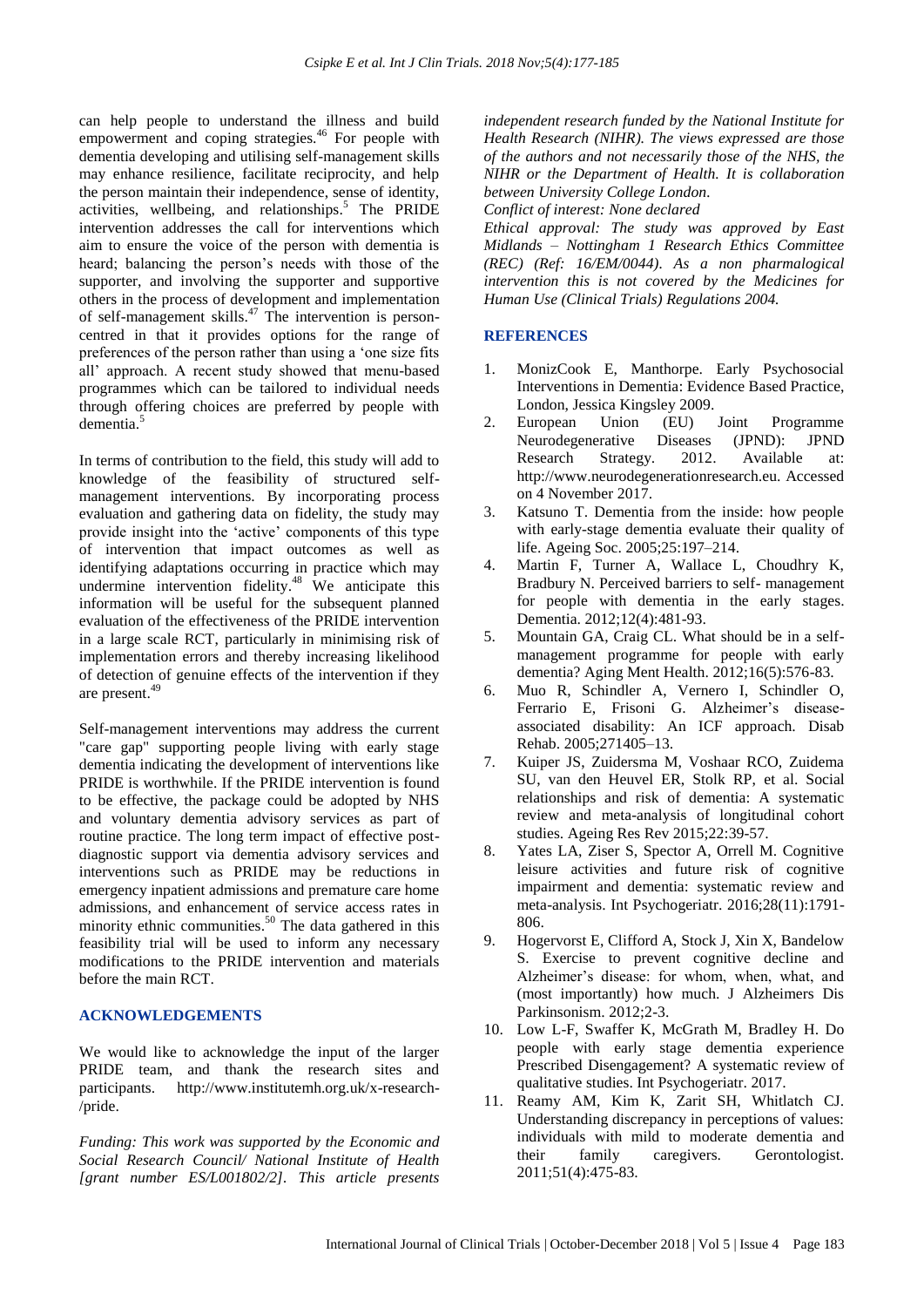can help people to understand the illness and build empowerment and coping strategies.<sup>46</sup> For people with dementia developing and utilising self-management skills may enhance resilience, facilitate reciprocity, and help the person maintain their independence, sense of identity, activities, wellbeing, and relationships. <sup>5</sup> The PRIDE intervention addresses the call for interventions which aim to ensure the voice of the person with dementia is heard; balancing the person's needs with those of the supporter, and involving the supporter and supportive others in the process of development and implementation of self-management skills. <sup>47</sup> The intervention is personcentred in that it provides options for the range of preferences of the person rather than using a "one size fits all" approach. A recent study showed that menu-based programmes which can be tailored to individual needs through offering choices are preferred by people with dementia. 5

In terms of contribution to the field, this study will add to knowledge of the feasibility of structured selfmanagement interventions. By incorporating process evaluation and gathering data on fidelity, the study may provide insight into the "active" components of this type of intervention that impact outcomes as well as identifying adaptations occurring in practice which may undermine intervention fidelity.<sup>48</sup> We anticipate this information will be useful for the subsequent planned evaluation of the effectiveness of the PRIDE intervention in a large scale RCT, particularly in minimising risk of implementation errors and thereby increasing likelihood of detection of genuine effects of the intervention if they are present. 49

Self-management interventions may address the current "care gap" supporting people living with early stage dementia indicating the development of interventions like PRIDE is worthwhile. If the PRIDE intervention is found to be effective, the package could be adopted by NHS and voluntary dementia advisory services as part of routine practice. The long term impact of effective postdiagnostic support via dementia advisory services and interventions such as PRIDE may be reductions in emergency inpatient admissions and premature care home admissions, and enhancement of service access rates in minority ethnic communities.<sup>50</sup> The data gathered in this feasibility trial will be used to inform any necessary modifications to the PRIDE intervention and materials before the main RCT.

## **ACKNOWLEDGEMENTS**

We would like to acknowledge the input of the larger PRIDE team, and thank the research sites and participants. http://www.institutemh.org.uk/x-research- /pride.

*Funding: This work was supported by the Economic and Social Research Council/ National Institute of Health [grant number ES/L001802/2]. This article presents*  *independent research funded by the National Institute for Health Research (NIHR). The views expressed are those of the authors and not necessarily those of the NHS, the NIHR or the Department of Health. It is collaboration between University College London.*

*Conflict of interest: None declared*

*Ethical approval: The study was approved by East Midlands – Nottingham 1 Research Ethics Committee (REC) (Ref: 16/EM/0044). As a non pharmalogical intervention this is not covered by the Medicines for Human Use (Clinical Trials) Regulations 2004.*

# **REFERENCES**

- 1. MonizCook E, Manthorpe. Early Psychosocial Interventions in Dementia: Evidence Based Practice, London, Jessica Kingsley 2009.
- 2. European Union (EU) Joint Programme Neurodegenerative Diseases (JPND): JPND Research Strategy. 2012. Available at: http://www.neurodegenerationresearch.eu. Accessed on 4 November 2017.
- 3. Katsuno T. Dementia from the inside: how people with early-stage dementia evaluate their quality of life. Ageing Soc. 2005;25:197–214.
- 4. Martin F, Turner A, Wallace L, Choudhry K, Bradbury N. Perceived barriers to self- management for people with dementia in the early stages. Dementia. 2012;12(4):481-93.
- 5. Mountain GA, Craig CL. What should be in a selfmanagement programme for people with early dementia? Aging Ment Health. 2012;16(5):576-83.
- 6. Muo R, Schindler A, Vernero I, Schindler O, Ferrario E, Frisoni G. Alzheimer's diseaseassociated disability: An ICF approach. Disab Rehab. 2005;271405–13.
- 7. Kuiper JS, Zuidersma M, Voshaar RCO, Zuidema SU, van den Heuvel ER, Stolk RP, et al. Social relationships and risk of dementia: A systematic review and meta-analysis of longitudinal cohort studies. Ageing Res Rev 2015;22:39-57.
- 8. Yates LA, Ziser S, Spector A, Orrell M. Cognitive leisure activities and future risk of cognitive impairment and dementia: systematic review and meta-analysis. Int Psychogeriatr. 2016;28(11):1791- 806.
- 9. Hogervorst E, Clifford A, Stock J, Xin X, Bandelow S. Exercise to prevent cognitive decline and Alzheimer"s disease: for whom, when, what, and (most importantly) how much. J Alzheimers Dis Parkinsonism. 2012;2-3.
- 10. Low L-F, Swaffer K, McGrath M, Bradley H. Do people with early stage dementia experience Prescribed Disengagement? A systematic review of qualitative studies. Int Psychogeriatr. 2017.
- 11. Reamy AM, Kim K, Zarit SH, Whitlatch CJ. Understanding discrepancy in perceptions of values: individuals with mild to moderate dementia and their family caregivers. Gerontologist. 2011;51(4):475-83.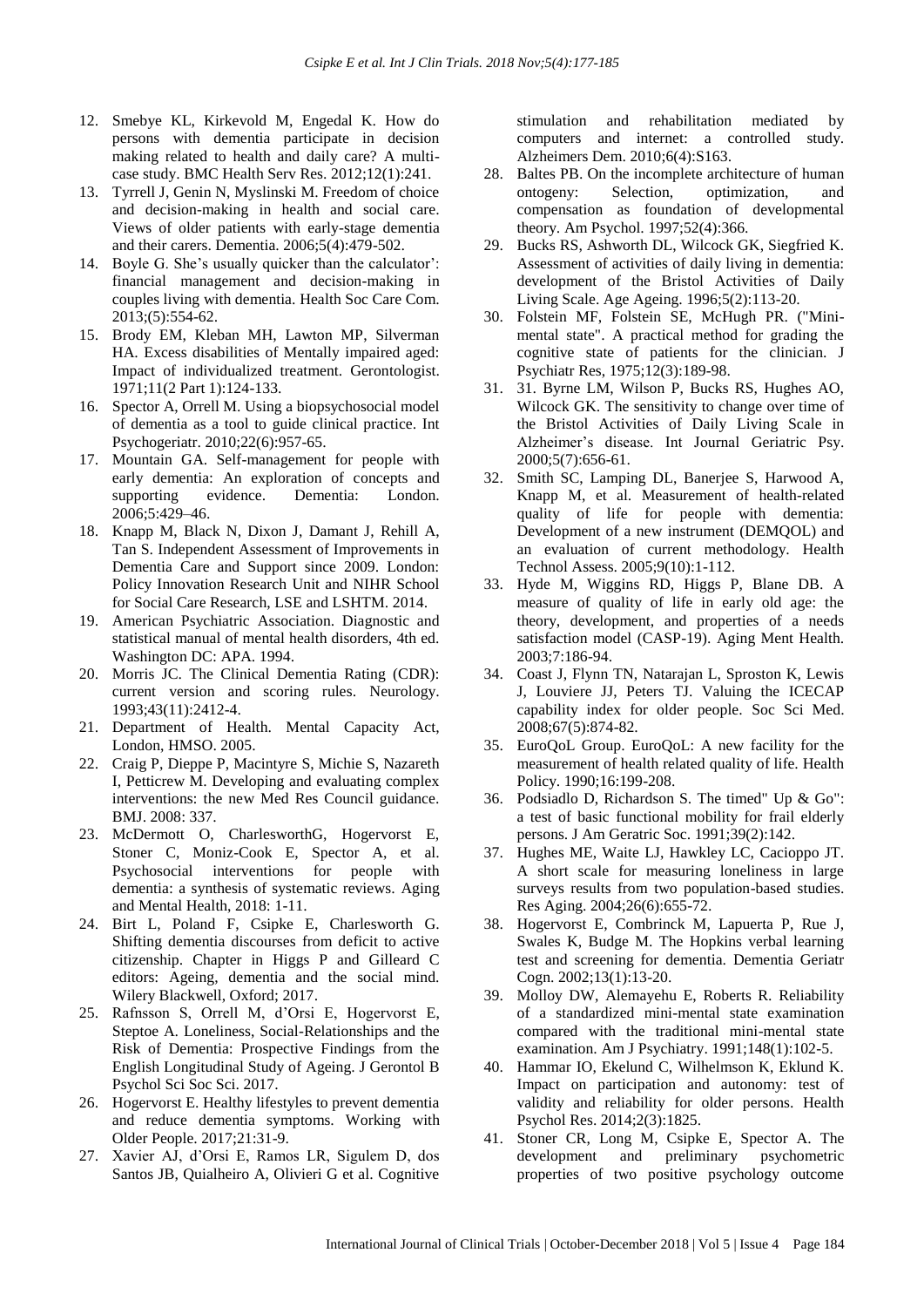- 12. Smebye KL, Kirkevold M, Engedal K. How do persons with dementia participate in decision making related to health and daily care? A multicase study. BMC Health Serv Res. 2012;12(1):241.
- 13. Tyrrell J, Genin N, Myslinski M. Freedom of choice and decision-making in health and social care. Views of older patients with early-stage dementia and their carers. Dementia. 2006;5(4):479-502.
- 14. Boyle G. She's usually quicker than the calculator': financial management and decision-making in couples living with dementia. Health Soc Care Com. 2013;(5):554-62.
- 15. Brody EM, Kleban MH, Lawton MP, Silverman HA. Excess disabilities of Mentally impaired aged: Impact of individualized treatment. Gerontologist. 1971;11(2 Part 1):124-133.
- 16. Spector A, Orrell M. Using a biopsychosocial model of dementia as a tool to guide clinical practice. Int Psychogeriatr. 2010;22(6):957-65.
- 17. Mountain GA. Self-management for people with early dementia: An exploration of concepts and supporting evidence. Dementia: London. 2006;5:429–46.
- 18. Knapp M, Black N, Dixon J, Damant J, Rehill A, Tan S. Independent Assessment of Improvements in Dementia Care and Support since 2009. London: Policy Innovation Research Unit and NIHR School for Social Care Research, LSE and LSHTM. 2014.
- 19. American Psychiatric Association. Diagnostic and statistical manual of mental health disorders, 4th ed. Washington DC: APA. 1994.
- 20. Morris JC. The Clinical Dementia Rating (CDR): current version and scoring rules. Neurology. 1993;43(11):2412-4.
- 21. Department of Health. Mental Capacity Act, London, HMSO. 2005.
- 22. Craig P, Dieppe P, Macintyre S, Michie S, Nazareth I, Petticrew M. Developing and evaluating complex interventions: the new Med Res Council guidance. BMJ. 2008: 337.
- 23. McDermott O, CharlesworthG, Hogervorst E, Stoner C, Moniz-Cook E, Spector A, et al. Psychosocial interventions for people with dementia: a synthesis of systematic reviews. Aging and Mental Health, 2018: 1-11.
- 24. Birt L, Poland F, Csipke E, Charlesworth G. Shifting dementia discourses from deficit to active citizenship. Chapter in Higgs P and Gilleard C editors: Ageing, dementia and the social mind. Wilery Blackwell, Oxford; 2017.
- 25. Rafnsson S, Orrell M, d"Orsi E, Hogervorst E, Steptoe A. Loneliness, Social-Relationships and the Risk of Dementia: Prospective Findings from the English Longitudinal Study of Ageing. J Gerontol B Psychol Sci Soc Sci. 2017.
- 26. Hogervorst E. Healthy lifestyles to prevent dementia and reduce dementia symptoms. Working with Older People. 2017;21:31-9.
- 27. Xavier AJ, d"Orsi E, Ramos LR, Sigulem D, dos Santos JB, Quialheiro A, Olivieri G et al. Cognitive

stimulation and rehabilitation mediated by computers and internet: a controlled study. Alzheimers Dem. 2010;6(4):S163.

- 28. Baltes PB. On the incomplete architecture of human ontogeny: Selection, optimization, and compensation as foundation of developmental theory. Am Psychol. 1997;52(4):366.
- 29. Bucks RS, Ashworth DL, Wilcock GK, Siegfried K. Assessment of activities of daily living in dementia: development of the Bristol Activities of Daily Living Scale. Age Ageing. 1996;5(2):113-20.
- 30. Folstein MF, Folstein SE, McHugh PR. ("Minimental state". A practical method for grading the cognitive state of patients for the clinician. J Psychiatr Res, 1975;12(3):189-98.
- 31. 31. Byrne LM, Wilson P, Bucks RS, Hughes AO, Wilcock GK. The sensitivity to change over time of the Bristol Activities of Daily Living Scale in Alzheimer"s disease. Int Journal Geriatric Psy. 2000;5(7):656-61.
- 32. Smith SC, Lamping DL, Banerjee S, Harwood A, Knapp M, et al. Measurement of health-related quality of life for people with dementia: Development of a new instrument (DEMQOL) and an evaluation of current methodology. Health Technol Assess. 2005;9(10):1-112.
- 33. Hyde M, Wiggins RD, Higgs P, Blane DB. A measure of quality of life in early old age: the theory, development, and properties of a needs satisfaction model (CASP-19). Aging Ment Health. 2003;7:186-94.
- 34. Coast J, Flynn TN, Natarajan L, Sproston K, Lewis J, Louviere JJ, Peters TJ. Valuing the ICECAP capability index for older people. Soc Sci Med. 2008;67(5):874-82.
- 35. EuroQoL Group. EuroQoL: A new facility for the measurement of health related quality of life. Health Policy. 1990;16:199-208.
- 36. Podsiadlo D, Richardson S. The timed" Up & Go": a test of basic functional mobility for frail elderly persons. J Am Geratric Soc. 1991;39(2):142.
- 37. Hughes ME, Waite LJ, Hawkley LC, Cacioppo JT. A short scale for measuring loneliness in large surveys results from two population-based studies. Res Aging. 2004;26(6):655-72.
- 38. Hogervorst E, Combrinck M, Lapuerta P, Rue J, Swales K, Budge M. The Hopkins verbal learning test and screening for dementia. Dementia Geriatr Cogn. 2002;13(1):13-20.
- 39. Molloy DW, Alemayehu E, Roberts R. Reliability of a standardized mini-mental state examination compared with the traditional mini-mental state examination. Am J Psychiatry. 1991;148(1):102-5.
- 40. Hammar IO, Ekelund C, Wilhelmson K, Eklund K. Impact on participation and autonomy: test of validity and reliability for older persons. Health Psychol Res. 2014;2(3):1825.
- 41. Stoner CR, Long M, Csipke E, Spector A. The development and preliminary psychometric properties of two positive psychology outcome